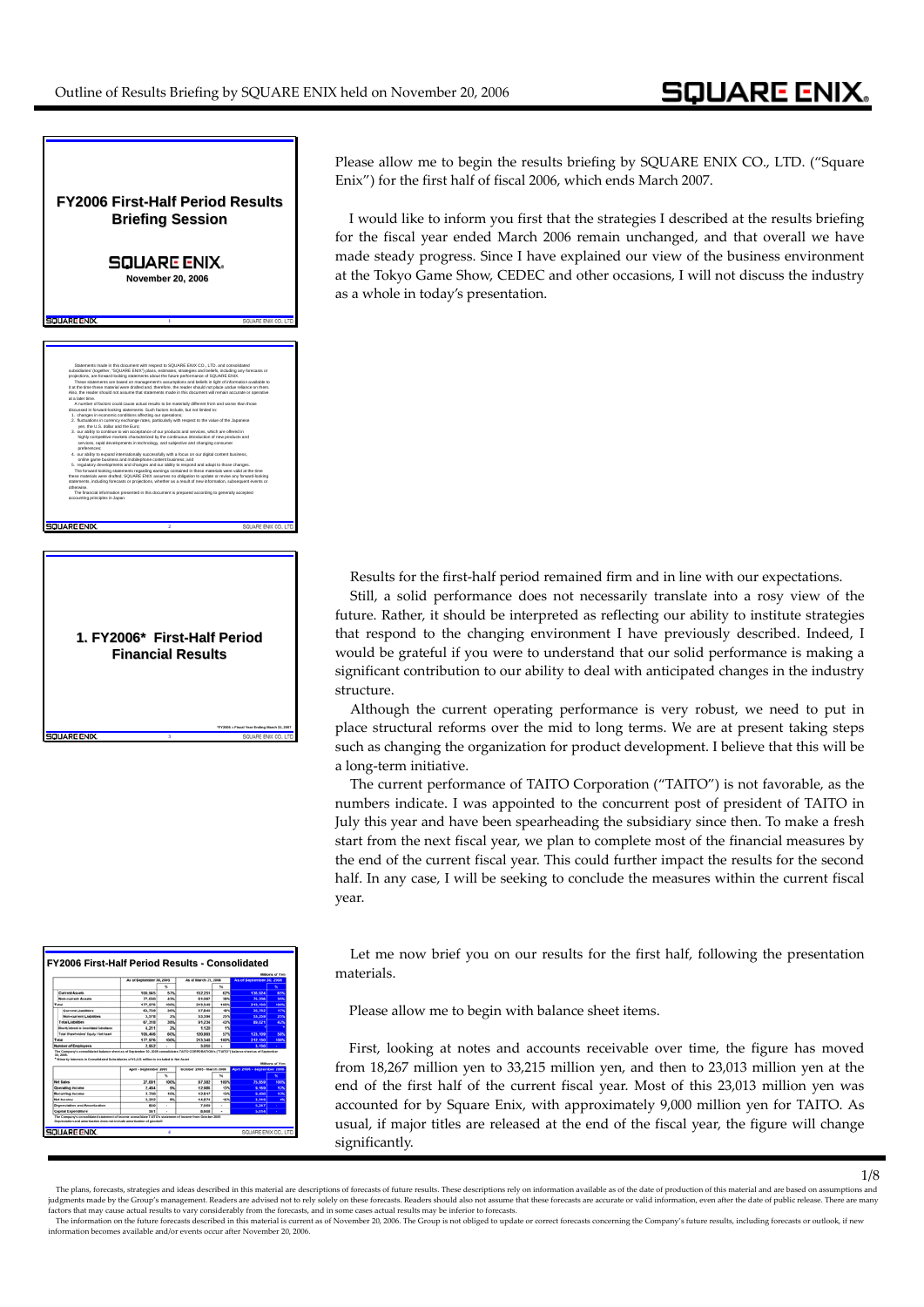

**FY2006 First FY2006 First-Half Period Results Half Period Results - Consolidated Depreciation and amortization does not include amortization of goodwill The Company's consolidated balance sheet as of September 30, 2005 consolidates TAITO CORPORATION's ("TAITO") balance sheet as of September 30, 2005. \* Minority Interests in Consolidated Subsidiaries of ¥1,121 million is included in Net Asset The Company's consolidated statement of income consolidate TAITO's statement of income from October 2005**

**3**

SOUARE ENIX

**\*FY2006 = Fiscal Year Ending March 31, 2007**

Please allow me to begin the results briefing by SQUARE ENIX CO., LTD. ("Square Enix") for the first half of fiscal 2006, which ends March 2007.

I would like to inform you first that the strategies I described at the results briefing for the fiscal year ended March 2006 remain unchanged, and that overall we have made steady progress. Since I have explained our view of the business environment at the Tokyo Game Show, CEDEC and other occasions, I will not discuss the industry as a whole in today's presentation.

Results for the first-half period remained firm and in line with our expectations.

Still, a solid performance does not necessarily translate into a rosy view of the future. Rather, it should be interpreted as reflecting our ability to institute strategies that respond to the changing environment I have previously described. Indeed, I would be grateful if you were to understand that our solid performance is making a significant contribution to our ability to deal with anticipated changes in the industry structure.

Although the current operating performance is very robust, we need to put in place structural reforms over the mid to long terms. We are at present taking steps such as changing the organization for product development. I believe that this will be a long‐term initiative.

The current performance of TAITO Corporation ("TAITO") is not favorable, as the numbers indicate. I was appointed to the concurrent post of president of TAITO in July this year and have been spearheading the subsidiary since then. To make a fresh start from the next fiscal year, we plan to complete most of the financial measures by the end of the current fiscal year. This could further impact the results for the second half. In any case, I will be seeking to conclude the measures within the current fiscal year.

Let me now brief you on our results for the first half, following the presentation materials.

Please allow me to begin with balance sheet items.

First, looking at notes and accounts receivable over time, the figure has moved from 18,267 million yen to 33,215 million yen, and then to 23,013 million yen at the end of the first half of the current fiscal year. Most of this 23,013 million yen was accounted for by Square Enix, with approximately 9,000 million yen for TAITO. As usual, if major titles are released at the end of the fiscal year, the figure will change significantly.

1/8

The plans, forecasts, strategies and ideas described in this material are descriptions of forecasts of future results. These descriptions rely on information available as of the date of production of this material and are iudements made by the Group's management. Readers are advised not to rely solely on these forecasts. Readers should also not assume that these forecasts are accurate or valid information, even after the date of public rele factors that may cause actual results to vary considerably from the forecasts, and in some cases actual results may be inferior to forecasts.<br>The information on the future forecasts described in this material is current as

information becomes available and/or events occur after November 20, 2006.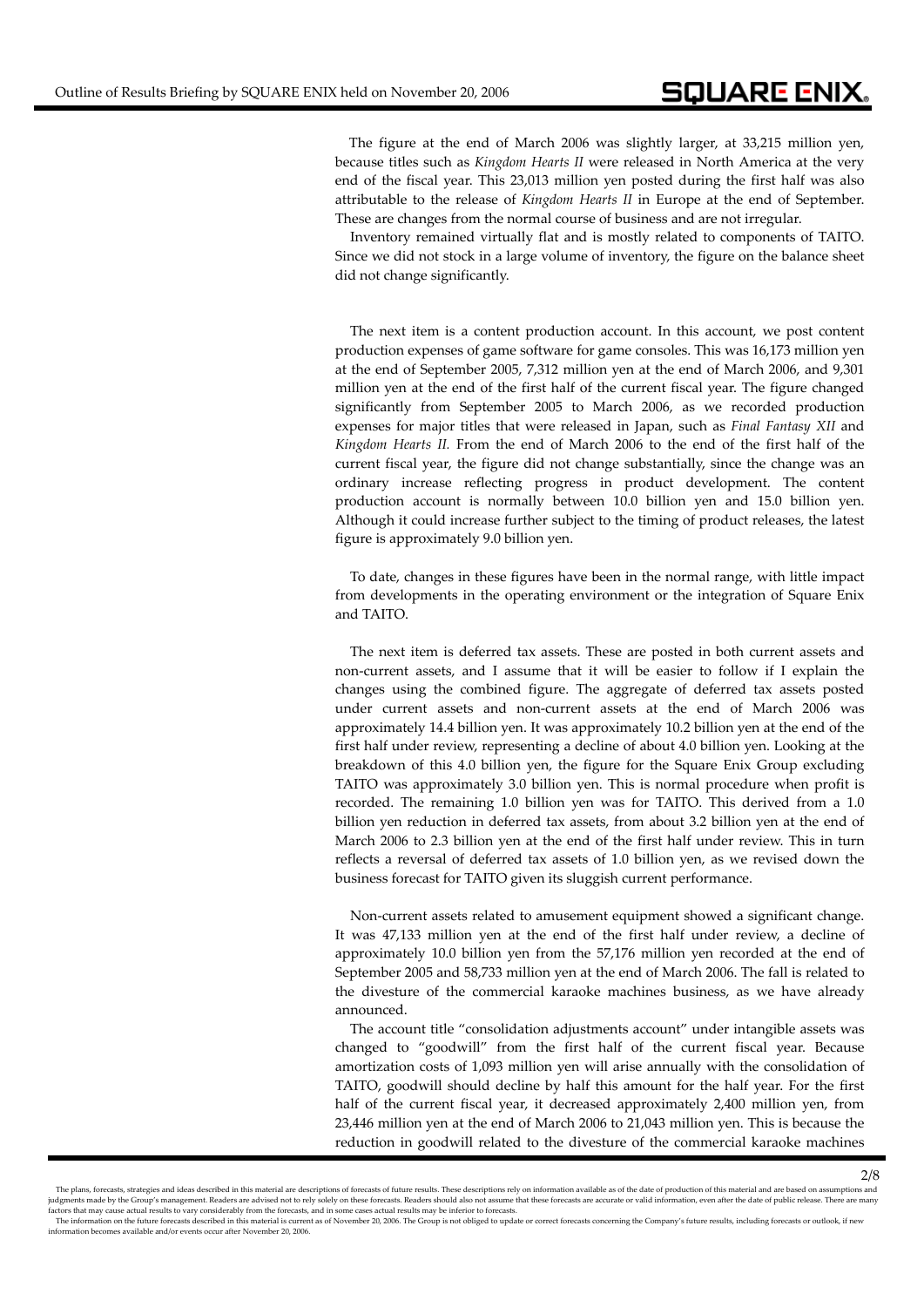The figure at the end of March 2006 was slightly larger, at 33,215 million yen, because titles such as *Kingdom Hearts II* were released in North America at the very end of the fiscal year. This 23,013 million yen posted during the first half was also attributable to the release of *Kingdom Hearts II* in Europe at the end of September. These are changes from the normal course of business and are not irregular.

Inventory remained virtually flat and is mostly related to components of TAITO. Since we did not stock in a large volume of inventory, the figure on the balance sheet did not change significantly.

The next item is a content production account. In this account, we post content production expenses of game software for game consoles. This was 16,173 million yen at the end of September 2005, 7,312 million yen at the end of March 2006, and 9,301 million yen at the end of the first half of the current fiscal year. The figure changed significantly from September 2005 to March 2006, as we recorded production expenses for major titles that were released in Japan, such as *Final Fantasy XII* and *Kingdom Hearts II.* From the end of March 2006 to the end of the first half of the current fiscal year, the figure did not change substantially, since the change was an ordinary increase reflecting progress in product development. The content production account is normally between 10.0 billion yen and 15.0 billion yen. Although it could increase further subject to the timing of product releases, the latest figure is approximately 9.0 billion yen.

To date, changes in these figures have been in the normal range, with little impact from developments in the operating environment or the integration of Square Enix and TAITO.

The next item is deferred tax assets. These are posted in both current assets and non‐current assets, and I assume that it will be easier to follow if I explain the changes using the combined figure. The aggregate of deferred tax assets posted under current assets and non‐current assets at the end of March 2006 was approximately 14.4 billion yen. It was approximately 10.2 billion yen at the end of the first half under review, representing a decline of about 4.0 billion yen. Looking at the breakdown of this 4.0 billion yen, the figure for the Square Enix Group excluding TAITO was approximately 3.0 billion yen. This is normal procedure when profit is recorded. The remaining 1.0 billion yen was for TAITO. This derived from a 1.0 billion yen reduction in deferred tax assets, from about 3.2 billion yen at the end of March 2006 to 2.3 billion yen at the end of the first half under review. This in turn reflects a reversal of deferred tax assets of 1.0 billion yen, as we revised down the business forecast for TAITO given its sluggish current performance.

Non-current assets related to amusement equipment showed a significant change. It was 47,133 million yen at the end of the first half under review, a decline of approximately 10.0 billion yen from the 57,176 million yen recorded at the end of September 2005 and 58,733 million yen at the end of March 2006. The fall is related to the divesture of the commercial karaoke machines business, as we have already announced.

The account title "consolidation adjustments account" under intangible assets was changed to "goodwill" from the first half of the current fiscal year. Because amortization costs of 1,093 million yen will arise annually with the consolidation of TAITO, goodwill should decline by half this amount for the half year. For the first half of the current fiscal year, it decreased approximately 2,400 million yen, from 23,446 million yen at the end of March 2006 to 21,043 million yen. This is because the reduction in goodwill related to the divesture of the commercial karaoke machines

The plans, forecasts, strategies and ideas described in this material are descriptions of forecasts of future results. These descriptions rely on information available as of the date of production of this material and are iudements made by the Group's management. Readers are advised not to rely solely on these forecasts. Readers should also not assume that these forecasts are accurate or valid information, even after the date of public rele factors that may cause actual results to vary considerably from the forecasts, and in some cases actual results may be inferior to forecasts.<br>The information on the future forecasts described in this material is current as

information becomes available and/or events occur after November 20, 2006.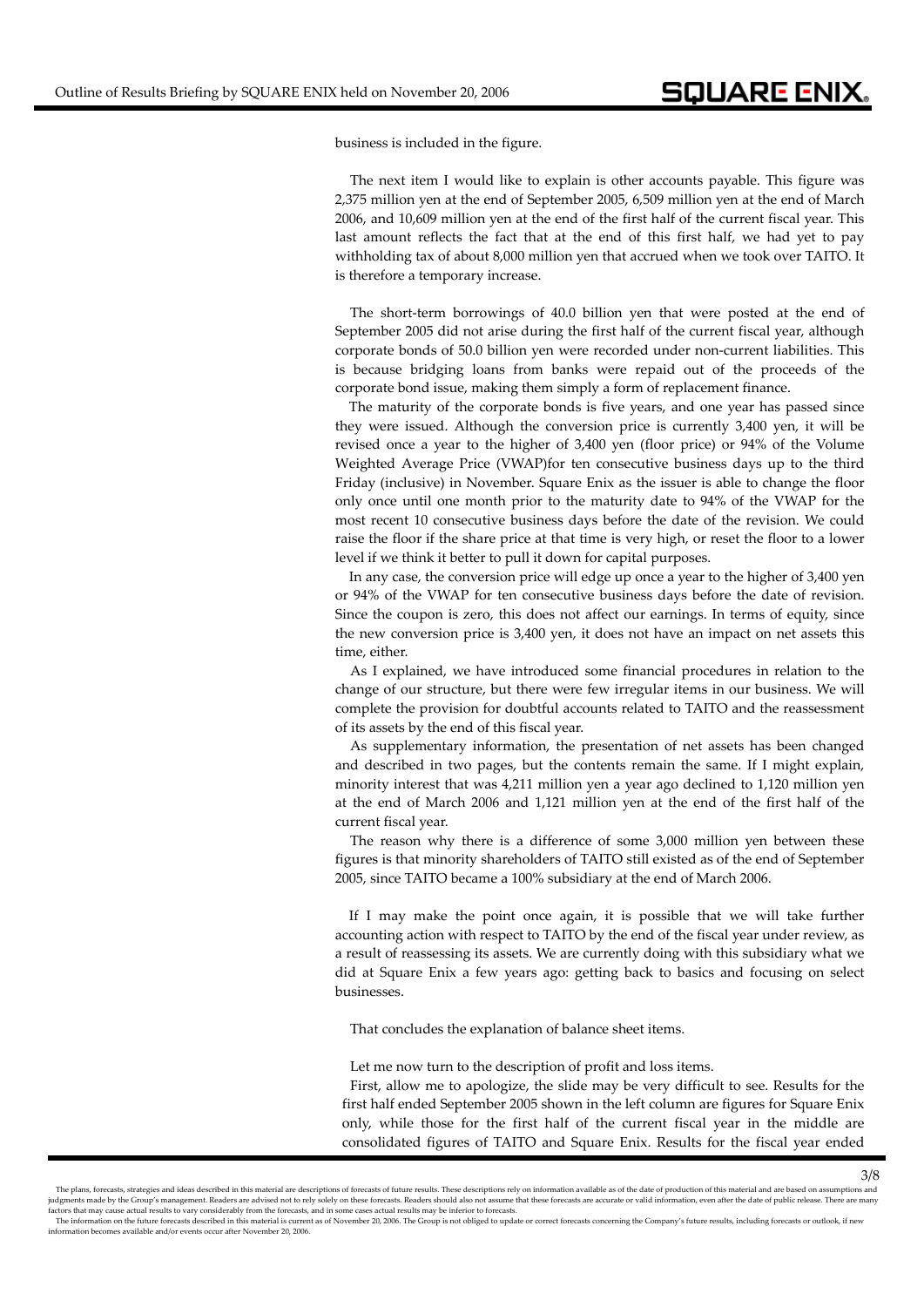business is included in the figure.

The next item I would like to explain is other accounts payable. This figure was 2,375 million yen at the end of September 2005, 6,509 million yen at the end of March 2006, and 10,609 million yen at the end of the first half of the current fiscal year. This last amount reflects the fact that at the end of this first half, we had yet to pay withholding tax of about 8,000 million yen that accrued when we took over TAITO. It is therefore a temporary increase.

The short-term borrowings of 40.0 billion yen that were posted at the end of September 2005 did not arise during the first half of the current fiscal year, although corporate bonds of 50.0 billion yen were recorded under non‐current liabilities. This is because bridging loans from banks were repaid out of the proceeds of the corporate bond issue, making them simply a form of replacement finance.

The maturity of the corporate bonds is five years, and one year has passed since they were issued. Although the conversion price is currently 3,400 yen, it will be revised once a year to the higher of 3,400 yen (floor price) or 94% of the Volume Weighted Average Price (VWAP)for ten consecutive business days up to the third Friday (inclusive) in November. Square Enix as the issuer is able to change the floor only once until one month prior to the maturity date to 94% of the VWAP for the most recent 10 consecutive business days before the date of the revision. We could raise the floor if the share price at that time is very high, or reset the floor to a lower level if we think it better to pull it down for capital purposes.

In any case, the conversion price will edge up once a year to the higher of 3,400 yen or 94% of the VWAP for ten consecutive business days before the date of revision. Since the coupon is zero, this does not affect our earnings. In terms of equity, since the new conversion price is 3,400 yen, it does not have an impact on net assets this time, either.

As I explained, we have introduced some financial procedures in relation to the change of our structure, but there were few irregular items in our business. We will complete the provision for doubtful accounts related to TAITO and the reassessment of its assets by the end of this fiscal year.

As supplementary information, the presentation of net assets has been changed and described in two pages, but the contents remain the same. If I might explain, minority interest that was 4,211 million yen a year ago declined to 1,120 million yen at the end of March 2006 and 1,121 million yen at the end of the first half of the current fiscal year.

The reason why there is a difference of some 3,000 million yen between these figures is that minority shareholders of TAITO still existed as of the end of September 2005, since TAITO became a 100% subsidiary at the end of March 2006.

If I may make the point once again, it is possible that we will take further accounting action with respect to TAITO by the end of the fiscal year under review, as a result of reassessing its assets. We are currently doing with this subsidiary what we did at Square Enix a few years ago: getting back to basics and focusing on select businesses.

That concludes the explanation of balance sheet items.

Let me now turn to the description of profit and loss items.

First, allow me to apologize, the slide may be very difficult to see. Results for the first half ended September 2005 shown in the left column are figures for Square Enix only, while those for the first half of the current fiscal year in the middle are consolidated figures of TAITO and Square Enix. Results for the fiscal year ended

The plans, forecasts, strategies and ideas described in this material are descriptions of forecasts of future results. These descriptions rely on information available as of the date of production of this material and are judgments made by the Group's management. Readers are advised not to rely solely on these forecasts. Readers should also not assume that these forecasts are accurate or valid information, even after the date of public rele se actual results to vary considerably from the forecasts, and in some cases actual results may be inferior to forecasts.

The information on the future forecasts described in this material is current as of November 20, 2006. The Group is not obliged to update or correct forecasts concerning the Company's future results, including forecasts or information becomes available and/or events occur after November 20, 2006.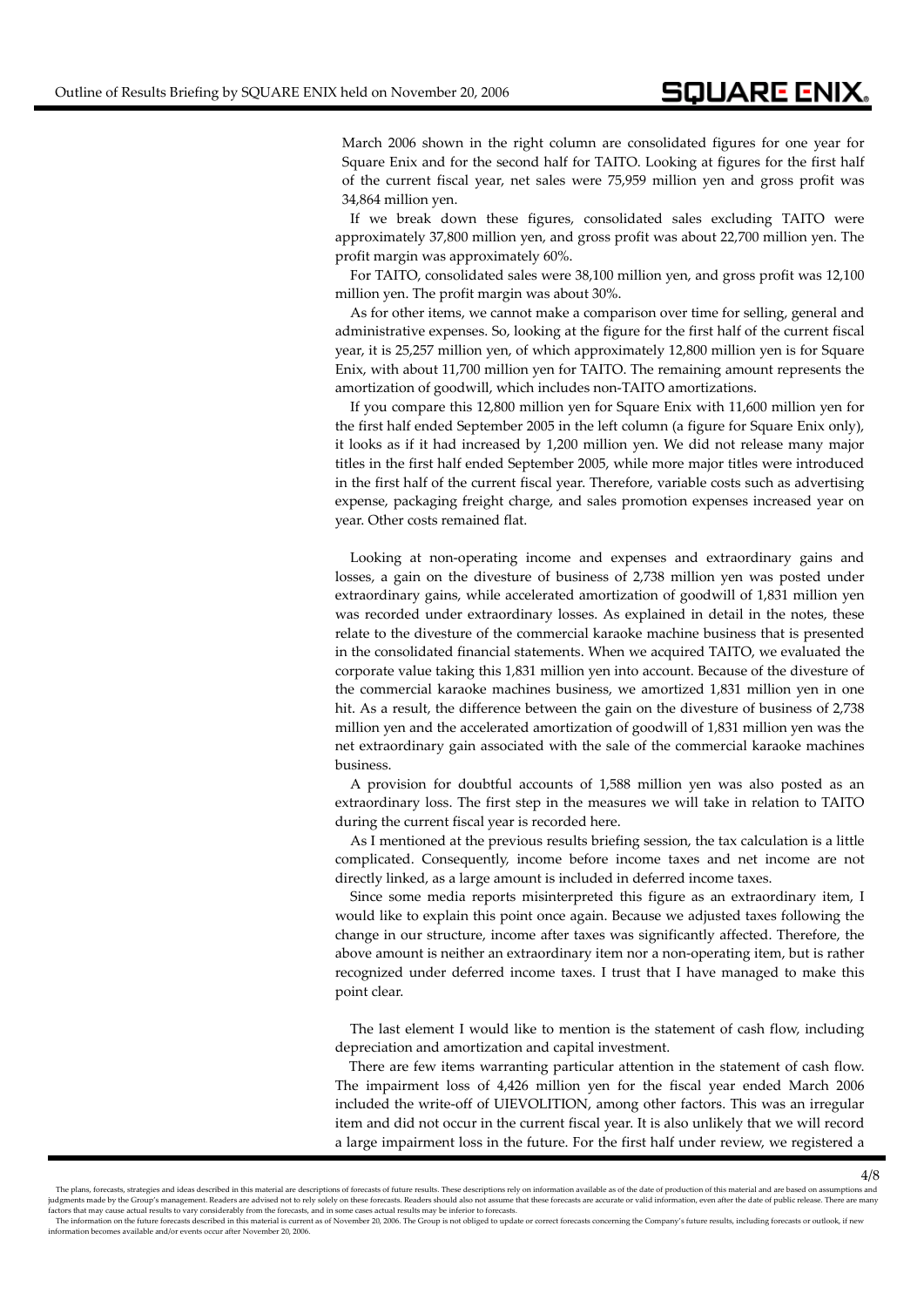March 2006 shown in the right column are consolidated figures for one year for Square Enix and for the second half for TAITO. Looking at figures for the first half of the current fiscal year, net sales were 75,959 million yen and gross profit was 34,864 million yen.

If we break down these figures, consolidated sales excluding TAITO were approximately 37,800 million yen, and gross profit was about 22,700 million yen. The profit margin was approximately 60%.

For TAITO, consolidated sales were 38,100 million yen, and gross profit was 12,100 million yen. The profit margin was about 30%.

As for other items, we cannot make a comparison over time for selling, general and administrative expenses. So, looking at the figure for the first half of the current fiscal year, it is 25,257 million yen, of which approximately 12,800 million yen is for Square Enix, with about 11,700 million yen for TAITO. The remaining amount represents the amortization of goodwill, which includes non‐TAITO amortizations.

If you compare this 12,800 million yen for Square Enix with 11,600 million yen for the first half ended September 2005 in the left column (a figure for Square Enix only), it looks as if it had increased by 1,200 million yen. We did not release many major titles in the first half ended September 2005, while more major titles were introduced in the first half of the current fiscal year. Therefore, variable costs such as advertising expense, packaging freight charge, and sales promotion expenses increased year on year. Other costs remained flat.

Looking at non‐operating income and expenses and extraordinary gains and losses, a gain on the divesture of business of 2,738 million yen was posted under extraordinary gains, while accelerated amortization of goodwill of 1,831 million yen was recorded under extraordinary losses. As explained in detail in the notes, these relate to the divesture of the commercial karaoke machine business that is presented in the consolidated financial statements. When we acquired TAITO, we evaluated the corporate value taking this 1,831 million yen into account. Because of the divesture of the commercial karaoke machines business, we amortized 1,831 million yen in one hit. As a result, the difference between the gain on the divesture of business of 2,738 million yen and the accelerated amortization of goodwill of 1,831 million yen was the net extraordinary gain associated with the sale of the commercial karaoke machines business.

A provision for doubtful accounts of 1,588 million yen was also posted as an extraordinary loss. The first step in the measures we will take in relation to TAITO during the current fiscal year is recorded here.

As I mentioned at the previous results briefing session, the tax calculation is a little complicated. Consequently, income before income taxes and net income are not directly linked, as a large amount is included in deferred income taxes.

Since some media reports misinterpreted this figure as an extraordinary item, I would like to explain this point once again. Because we adjusted taxes following the change in our structure, income after taxes was significantly affected. Therefore, the above amount is neither an extraordinary item nor a non‐operating item, but is rather recognized under deferred income taxes. I trust that I have managed to make this point clear.

The last element I would like to mention is the statement of cash flow, including depreciation and amortization and capital investment.

There are few items warranting particular attention in the statement of cash flow. The impairment loss of 4,426 million yen for the fiscal year ended March 2006 included the write‐off of UIEVOLITION, among other factors. This was an irregular item and did not occur in the current fiscal year. It is also unlikely that we will record a large impairment loss in the future. For the first half under review, we registered a

The plans, forecasts, strategies and ideas described in this material are descriptions of forecasts of future results. These descriptions rely on information available as of the date of production of this material and are judgments made by the Group's management. Readers are advised not to rely solely on these forecasts. Readers should also not assume that these forecasts are accurate or valid information, even after the date of public rele se actual results to vary considerably from the forecasts, and in some cases actual results may be inferior to forecasts.

The information on the future forecasts described in this material is current as of November 20, 2006. The Group is not obliged to update or correct forecasts concerning the Company's future results, including forecasts or information becomes available and/or events occur after November 20, 2006.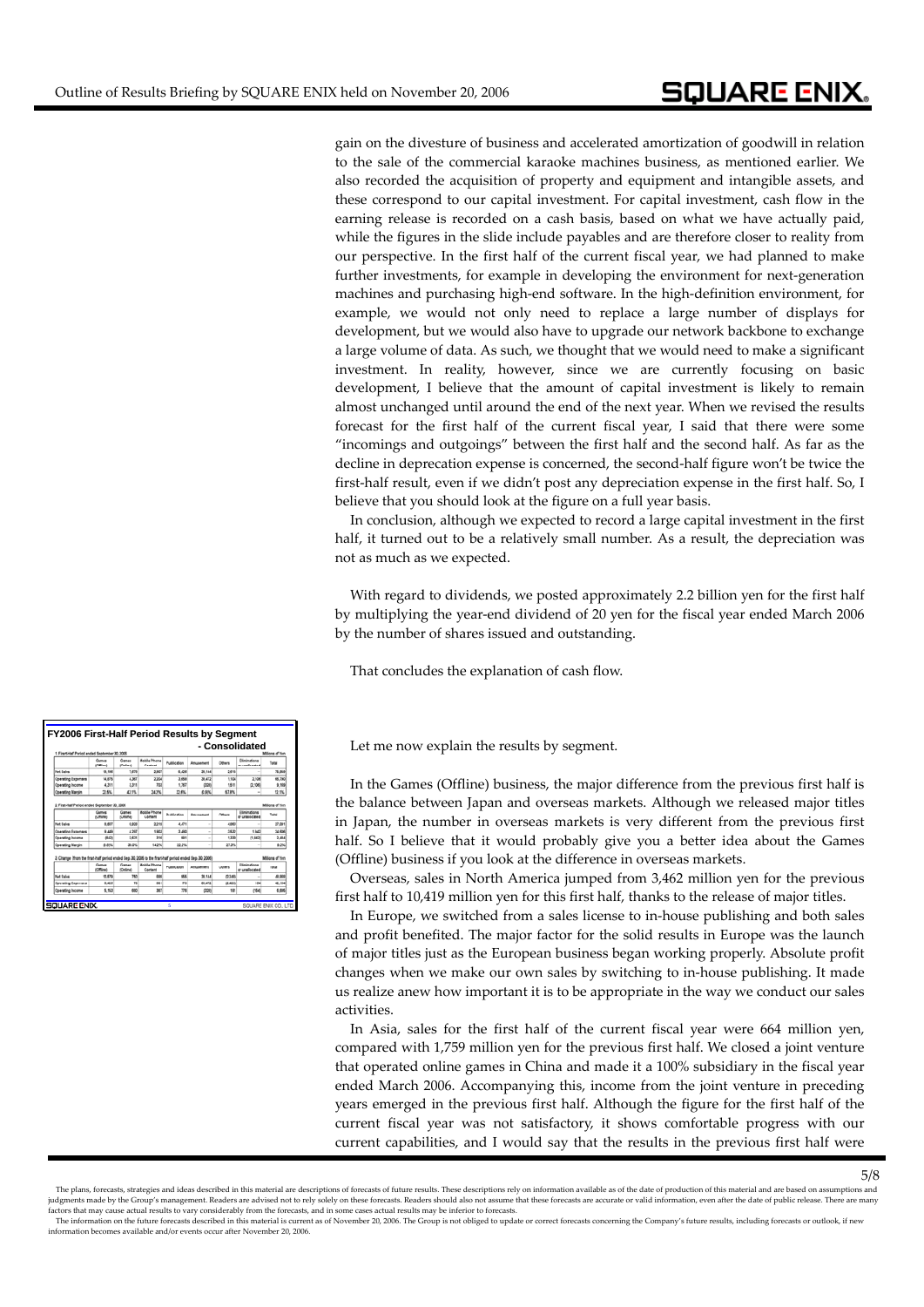gain on the divesture of business and accelerated amortization of goodwill in relation to the sale of the commercial karaoke machines business, as mentioned earlier. We also recorded the acquisition of property and equipment and intangible assets, and these correspond to our capital investment. For capital investment, cash flow in the earning release is recorded on a cash basis, based on what we have actually paid, while the figures in the slide include payables and are therefore closer to reality from our perspective. In the first half of the current fiscal year, we had planned to make further investments, for example in developing the environment for next-generation machines and purchasing high‐end software. In the high‐definition environment, for example, we would not only need to replace a large number of displays for development, but we would also have to upgrade our network backbone to exchange a large volume of data. As such, we thought that we would need to make a significant investment. In reality, however, since we are currently focusing on basic development, I believe that the amount of capital investment is likely to remain almost unchanged until around the end of the next year. When we revised the results forecast for the first half of the current fiscal year, I said that there were some "incomings and outgoings" between the first half and the second half. As far as the decline in deprecation expense is concerned, the second-half figure won't be twice the first-half result, even if we didn't post any depreciation expense in the first half. So, I believe that you should look at the figure on a full year basis.

In conclusion, although we expected to record a large capital investment in the first half, it turned out to be a relatively small number. As a result, the depreciation was not as much as we expected.

With regard to dividends, we posted approximately 2.2 billion yen for the first half by multiplying the year‐end dividend of 20 yen for the fiscal year ended March 2006 by the number of shares issued and outstanding.

That concludes the explanation of cash flow.

Let me now explain the results by segment.

In the Games (Offline) business, the major difference from the previous first half is the balance between Japan and overseas markets. Although we released major titles in Japan, the number in overseas markets is very different from the previous first half. So I believe that it would probably give you a better idea about the Games (Offline) business if you look at the difference in overseas markets.

Overseas, sales in North America jumped from 3,462 million yen for the previous first half to 10,419 million yen for this first half, thanks to the release of major titles.

In Europe, we switched from a sales license to in‐house publishing and both sales and profit benefited. The major factor for the solid results in Europe was the launch of major titles just as the European business began working properly. Absolute profit changes when we make our own sales by switching to in‐house publishing. It made us realize anew how important it is to be appropriate in the way we conduct our sales activities.

In Asia, sales for the first half of the current fiscal year were 664 million yen, compared with 1,759 million yen for the previous first half. We closed a joint venture that operated online games in China and made it a 100% subsidiary in the fiscal year ended March 2006. Accompanying this, income from the joint venture in preceding years emerged in the previous first half. Although the figure for the first half of the current fiscal year was not satisfactory, it shows comfortable progress with our current capabilities, and I would say that the results in the previous first half were

| - Consolidated<br>1. First Half Period ended September 30, 2006<br>ons of Yan                            |                   |                          |                                |             |            |                                                  |                               |                          |  |  |
|----------------------------------------------------------------------------------------------------------|-------------------|--------------------------|--------------------------------|-------------|------------|--------------------------------------------------|-------------------------------|--------------------------|--|--|
|                                                                                                          | Games<br>(Office) | Games<br><b>Colosi</b>   | <b>Mobile Phone</b><br>Contact | Publication | Amusement  | Others                                           | Elminations<br>ar unalisested | Tetal                    |  |  |
| <b>Net Sales</b>                                                                                         | 19,106            | 7,670                    | 2,907                          | 5.426       | 30.144     | 2.6%                                             |                               | 75,950                   |  |  |
| <b>Coersting Expenses</b>                                                                                | 14,876            | 4,367                    | 2,204                          | 3,658       | 38,472     | 1.104                                            | 2.106                         | 68,790                   |  |  |
| <b>Coersting Income</b>                                                                                  | 4.311             | 3,311                    | 703                            | 1.282       | <b>O2R</b> | 1,611                                            | Q.906                         | 9,169                    |  |  |
| <b>Operating Margin</b>                                                                                  | 22.6%             | 43.9%                    | 34.2%                          | 32.6%       | C.S/S.     | 67.9%                                            | ٠                             | 12.1%                    |  |  |
|                                                                                                          | <b>COMME</b>      | <b>COSTAL</b>            | Company                        |             |            |                                                  | or unalisimate                |                          |  |  |
|                                                                                                          | Games             | Games                    | <b>Mobile Phone</b>            | Publication | Amosement  | Millions of Yer<br>Elminators<br>Tutal<br>Others |                               |                          |  |  |
| Net Sales                                                                                                | 8,607             | 4.920                    | 2,219                          | 4.471       | ×.         | 4,063                                            | ٠                             | 27,091                   |  |  |
| <b>Operating Expenses</b>                                                                                | 9.649             | 4.963                    | 1983                           | 3,490       | ÷          | 3832                                             | 1.942                         | 34,606                   |  |  |
| <b>Coersting Income</b>                                                                                  | 842               | 2,631                    | 3/M                            | <b>MAY</b>  | ٠          | 1,330                                            | (1,342)                       | 2.484                    |  |  |
| <b>Operating Margin</b>                                                                                  | 6.8%              | 39.0%                    | 54.2%                          | 22.2%       | ٠          | 27.3%                                            | $\sim$                        | 9.2%                     |  |  |
| 3. Change (from the first-half period ended Sep. 30, 2005 to the first-half period ended Sep. 30, 2006). | Games<br>(Office) | Games<br><b>Critral</b>  | <b>Mobile Phone</b><br>Content | Publication | Amusement  | Others                                           | Elminators<br>or unaliscated  | Millions of Yer<br>Total |  |  |
| <b>Net Sales</b>                                                                                         | 10.676            | 750                      | <b>AM</b>                      | w           | 39.144     | 0.348                                            | ÷                             | 49,968                   |  |  |
|                                                                                                          | 6.426             | $\overline{\phantom{a}}$ | 301                            | 126         | 36,470     | 0.428                                            | 15.4                          | 42.184                   |  |  |
| <b>Operating Expenses</b>                                                                                |                   |                          |                                | 776         | com        | 181                                              | (M4)                          | 6,606                    |  |  |

The plans, forecasts, strategies and ideas described in this material are descriptions of forecasts of future results. These descriptions rely on information available as of the date of production of this material and are iudements made by the Group's management. Readers are advised not to rely solely on these forecasts. Readers should also not assume that these forecasts are accurate or valid information, even after the date of public rele

factors that may cause actual results to vary considerably from the forecasts, and in some cases actual results may be inferior to forecasts.<br>The information on the future forecasts described in this material is current as information becomes available and/or events occur after November 20, 2006.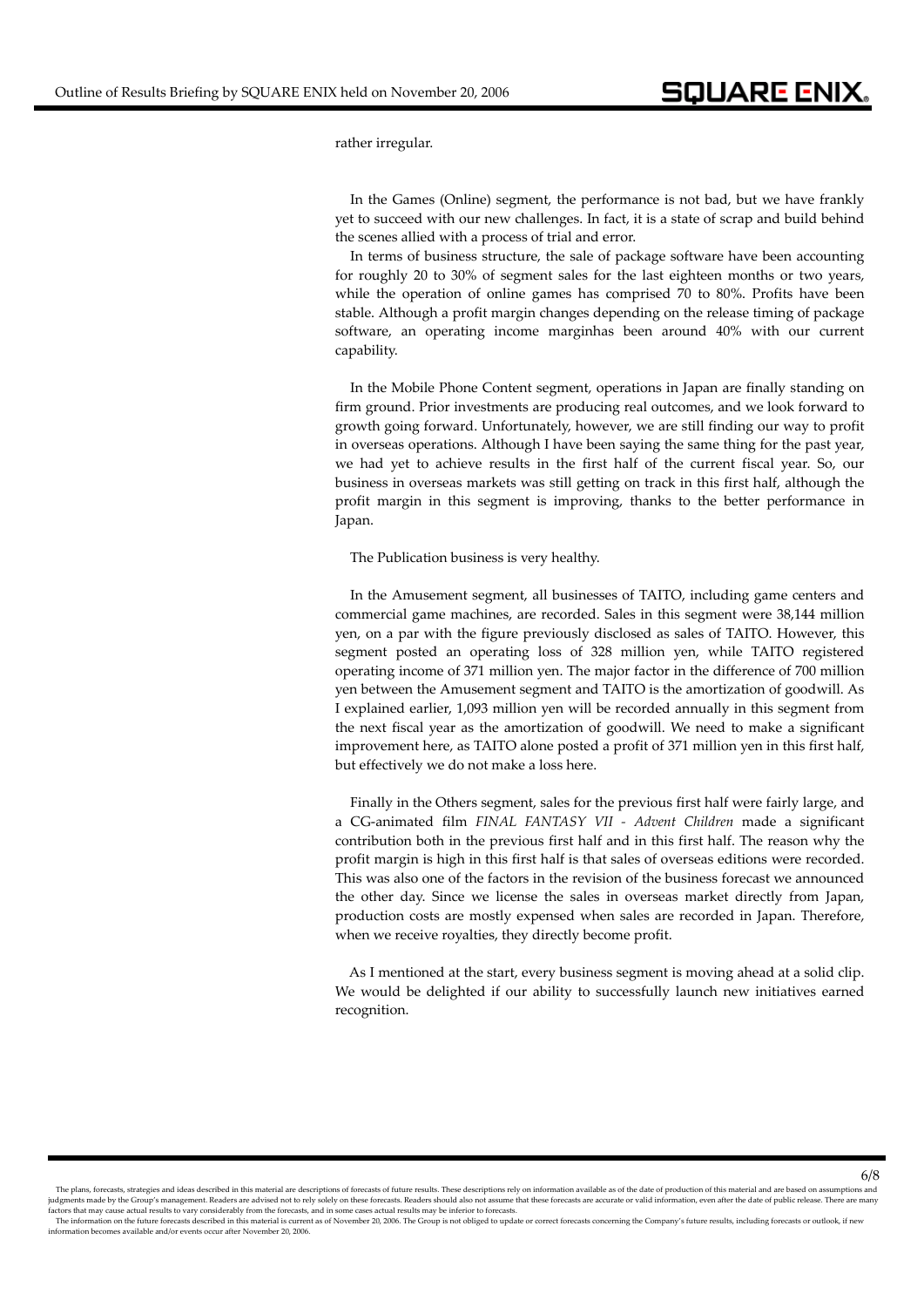rather irregular.

In the Games (Online) segment, the performance is not bad, but we have frankly yet to succeed with our new challenges. In fact, it is a state of scrap and build behind the scenes allied with a process of trial and error.

In terms of business structure, the sale of package software have been accounting for roughly 20 to 30% of segment sales for the last eighteen months or two years, while the operation of online games has comprised 70 to 80%. Profits have been stable. Although a profit margin changes depending on the release timing of package software, an operating income marginhas been around 40% with our current capability.

In the Mobile Phone Content segment, operations in Japan are finally standing on firm ground. Prior investments are producing real outcomes, and we look forward to growth going forward. Unfortunately, however, we are still finding our way to profit in overseas operations. Although I have been saying the same thing for the past year, we had yet to achieve results in the first half of the current fiscal year. So, our business in overseas markets was still getting on track in this first half, although the profit margin in this segment is improving, thanks to the better performance in Japan.

The Publication business is very healthy.

In the Amusement segment, all businesses of TAITO, including game centers and commercial game machines, are recorded. Sales in this segment were 38,144 million yen, on a par with the figure previously disclosed as sales of TAITO. However, this segment posted an operating loss of 328 million yen, while TAITO registered operating income of 371 million yen. The major factor in the difference of 700 million yen between the Amusement segment and TAITO is the amortization of goodwill. As I explained earlier, 1,093 million yen will be recorded annually in this segment from the next fiscal year as the amortization of goodwill. We need to make a significant improvement here, as TAITO alone posted a profit of 371 million yen in this first half, but effectively we do not make a loss here.

Finally in the Others segment, sales for the previous first half were fairly large, and a CG‐animated film *FINAL FANTASY VII ‐ Advent Children* made a significant contribution both in the previous first half and in this first half. The reason why the profit margin is high in this first half is that sales of overseas editions were recorded. This was also one of the factors in the revision of the business forecast we announced the other day. Since we license the sales in overseas market directly from Japan, production costs are mostly expensed when sales are recorded in Japan. Therefore, when we receive royalties, they directly become profit.

As I mentioned at the start, every business segment is moving ahead at a solid clip. We would be delighted if our ability to successfully launch new initiatives earned recognition.

The plans, forecasts, strategies and ideas described in this material are descriptions of forecasts of future results. These descriptions rely on information available as of the date of production of this material and are iudements made by the Group's management. Readers are advised not to rely solely on these forecasts. Readers should also not assume that these forecasts are accurate or valid information, even after the date of public rele

factors that may cause actual results to vary considerably from the forecasts, and in some cases actual results may be inferior to forecasts.<br>The information on the future forecasts described in this material is current as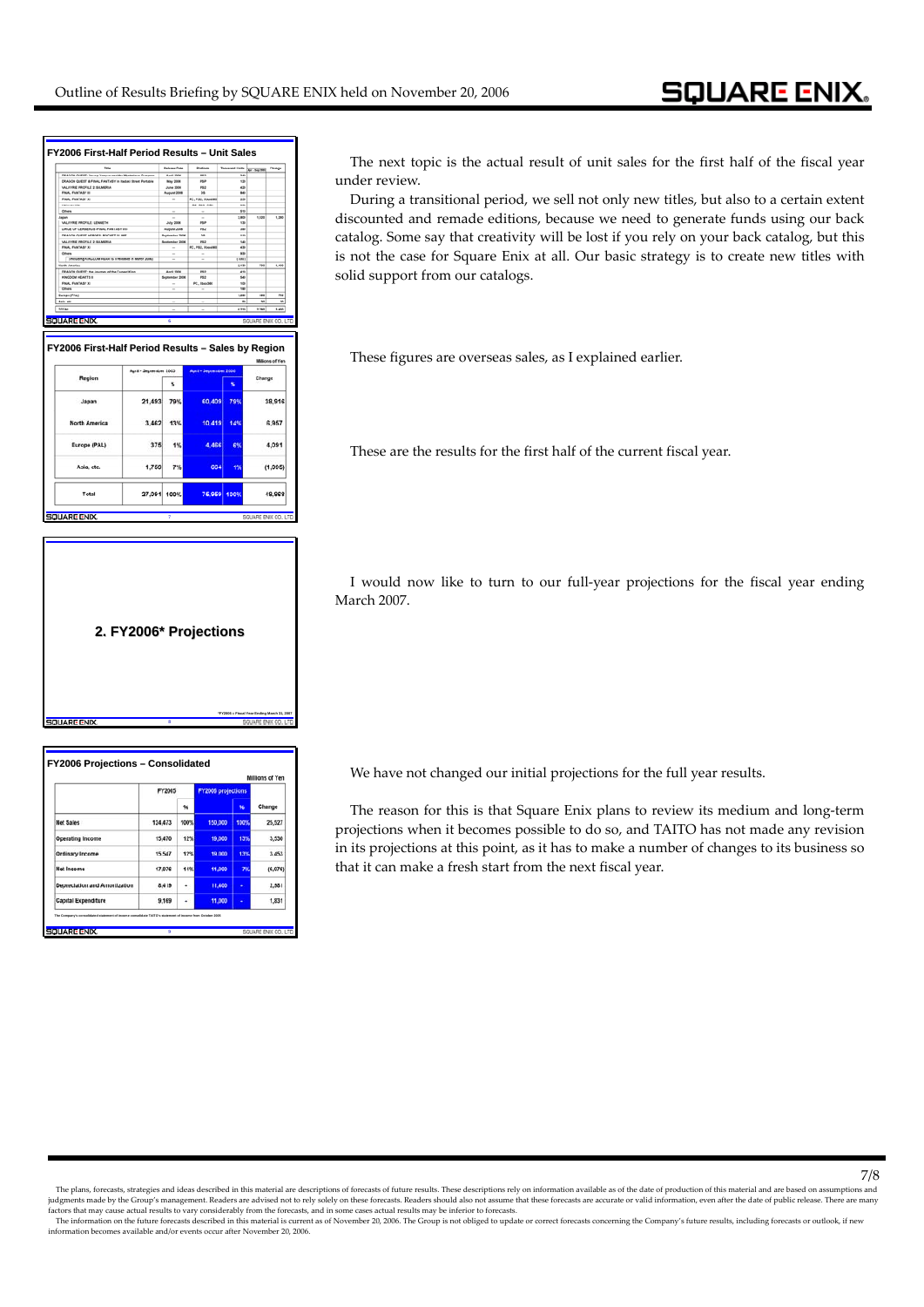| <b>Falu</b>                                             |                          | <b>Balance Prote</b>    | <b>Business</b>        | <b>Thomas A Fairy</b> | Apr - Buy 2005      | Change                   |
|---------------------------------------------------------|--------------------------|-------------------------|------------------------|-----------------------|---------------------|--------------------------|
| DRAGON GUEST: Young Yangus and the Musterlous Dungeon   |                          | April 2006              | $\overline{1}$         | $\overline{145}$      |                     |                          |
| DRAGON QUEST & FINAL FANTASY in Itadaki Street Portable |                          | May 2006                | <b>PSP</b>             | 139                   |                     |                          |
| VALKYRIE PROFILIE 2: SILMERIA                           |                          | June 2004               | PSI                    | 430                   |                     |                          |
| FINAL FANTASY III                                       |                          | August 2006             | Polk                   | 840                   |                     |                          |
| FINAL FANTASY XI                                        |                          |                         | PC, PS2, Xien360       | 350                   |                     |                          |
| <b><i><u>ERECOGEN WITH</u></i></b>                      |                          |                         | <b>PS. PS2. GRA</b>    | <b>SM</b>             |                     |                          |
| Others                                                  |                          | ٠                       |                        | <b>SSS</b>            |                     |                          |
| Japan                                                   |                          |                         | $\sim$                 | 1,800                 | 1,820               | 1,280                    |
| VALKYRIE PROFILE LENNETH                                |                          | July 2006               | PM                     | 130                   |                     |                          |
| DIRGE OF CERBERUS (FINAL FANTASY VS.                    |                          | August 2008             | PS2                    | and                   |                     |                          |
| DEADON OURSY URBORN BOOKER IN BER                       |                          | <b>Bestimmings 3004</b> | <b>COL</b>             | <b>HAR</b>            |                     |                          |
| VALKYRIE PROFILE 2 BILMERIA                             | September 2006           | P62                     | 140                    |                       |                     |                          |
| FINAL FANTASY XI                                        | $\overline{\phantom{a}}$ | PC, P63, Xhox360        | 430                    |                       |                     |                          |
| Others                                                  |                          | $\sim$                  | 530                    |                       |                     |                          |
| (including KINGOOM HEARTS II released in March 2006)    |                          |                         |                        | ( 809)                |                     |                          |
|                                                         |                          |                         |                        | 8,596                 | 794                 | LABE                     |
| DRAGON GUEST: the Journey of the Cursed King            |                          | April 3004              | PSI                    | 410                   |                     |                          |
| KINGDOM HEARTS II                                       |                          | September 2006          | PSI                    | 540                   |                     |                          |
| FINAL FANTASY XI                                        |                          |                         | PC. 134x300            | 100                   |                     |                          |
| Others                                                  |                          | ۰                       |                        | <b>THE</b>            |                     |                          |
| <b>Europe (PINA)</b>                                    |                          |                         |                        | 1,220                 | $\overline{1}$      | <b>PM</b>                |
| <b>Asia</b> sto                                         |                          | $\sim$                  |                        | $\omega$              | $\mathbf{M}$        | $\overline{\phantom{a}}$ |
| SOUARE ENIX.                                            |                          | 6                       |                        |                       | SQUARE ENX CO., LTD |                          |
| FY2006 First-Half Period Results - Sales by Region      |                          |                         |                        |                       |                     | <b>Millions of Yen</b>   |
|                                                         | April - September 2005   |                         | April - September 2006 |                       |                     |                          |
| Region                                                  |                          | x                       |                        | x                     | Change              |                          |
| Japan                                                   | 21,493                   | 79%                     | 60.409                 | 79%                   |                     | 38.916                   |
| <b>North America</b>                                    | 3.462                    | 13%                     | 10.419                 | 14%                   |                     | 6.957                    |
| Europe (PAL)                                            | 375                      | 1%                      | 4.466                  | 6%                    |                     | 4.091                    |
| Asia, etc.                                              | 1.759                    | 7%                      | 664                    | 1%                    |                     | (1,095)                  |

ा

**SQUARE ENIX** 

**SOUARE ENIX** 

The next topic is the actual result of unit sales for the first half of the fiscal year under review.

During a transitional period, we sell not only new titles, but also to a certain extent discounted and remade editions, because we need to generate funds using our back catalog. Some say that creativity will be lost if you rely on your back catalog, but this is not the case for Square Enix at all. Our basic strategy is to create new titles with solid support from our catalogs.

These figures are overseas sales, as I explained earlier.

These are the results for the first half of the current fiscal year.

I would now like to turn to our full‐year projections for the fiscal year ending March 2007.

**2. FY2006\* Projections**

**8**

**\*FY2006 = Fiscal Year Ending March 31, 2007**

| Millions of Yen               |         |      |                           |      |         |  |  |  |  |
|-------------------------------|---------|------|---------------------------|------|---------|--|--|--|--|
|                               | FY2005  |      | <b>FY2006 projections</b> |      |         |  |  |  |  |
|                               |         | 96   |                           | 96   | Change  |  |  |  |  |
| Net Sales                     | 124,473 | 100% | 150,000                   | 100% | 25,527  |  |  |  |  |
| <b>Operating Income</b>       | 15,470  | 12%  | 19,000                    | 13%  | 3,530   |  |  |  |  |
| Ordinary Income               | 15.547  | 12%  | 19,000                    | 13%  | 3.453   |  |  |  |  |
| Net Income                    | 17.076  | 14%  | 11,000                    | 7%   | (6,076) |  |  |  |  |
| Depreciation and Amortization | 8.419   | ٠    | 11,400                    |      | 2.981   |  |  |  |  |
| <b>Capital Expenditure</b>    | 9,169   | ٠    | 11,000                    | ٠    | 1,831   |  |  |  |  |

We have not changed our initial projections for the full year results.

The reason for this is that Square Enix plans to review its medium and long-term projections when it becomes possible to do so, and TAITO has not made any revision in its projections at this point, as it has to make a number of changes to its business so that it can make a fresh start from the next fiscal year.

<sup>7/8]&</sup>lt;br>The plans, forecasts, strategies and ideas described in this material are descriptions of forecasts of future results. These descriptions rely on information available as of the date of production of this material and

factors that may cause actual results to vary considerably from the forecasts, and in some cases actual results may be inferior to forecasts.<br>The information on the future forecasts described in this material is current as information becomes available and/or events occur after November 20, 2006.